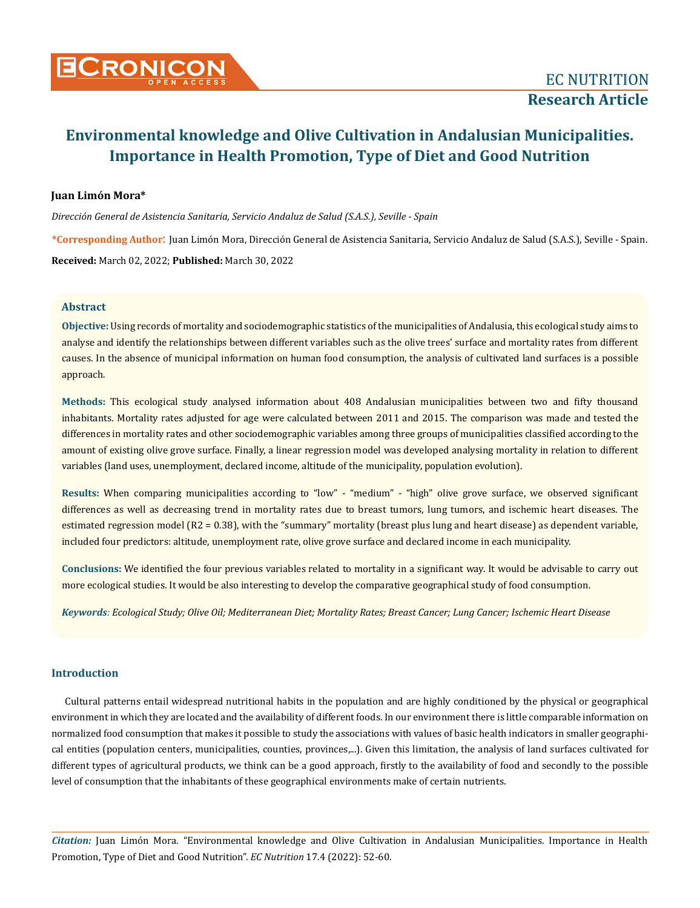

## **Juan Limón Mora\***

*Dirección General de Asistencia Sanitaria, Servicio Andaluz de Salud (S.A.S.), Seville - Spain*

**\*Corresponding Author**: Juan Limón Mora, Dirección General de Asistencia Sanitaria, Servicio Andaluz de Salud (S.A.S.), Seville - Spain. **Received:** March 02, 2022; **Published:** March 30, 2022

## **Abstract**

**Objective:** Using records of mortality and sociodemographic statistics of the municipalities of Andalusia, this ecological study aims to analyse and identify the relationships between different variables such as the olive trees' surface and mortality rates from different causes. In the absence of municipal information on human food consumption, the analysis of cultivated land surfaces is a possible approach.

**Methods:** This ecological study analysed information about 408 Andalusian municipalities between two and fifty thousand inhabitants. Mortality rates adjusted for age were calculated between 2011 and 2015. The comparison was made and tested the differences in mortality rates and other sociodemographic variables among three groups of municipalities classified according to the amount of existing olive grove surface. Finally, a linear regression model was developed analysing mortality in relation to different variables (land uses, unemployment, declared income, altitude of the municipality, population evolution).

**Results:** When comparing municipalities according to "low" - "medium" - "high" olive grove surface, we observed significant differences as well as decreasing trend in mortality rates due to breast tumors, lung tumors, and ischemic heart diseases. The estimated regression model (R2 = 0.38), with the "summary" mortality (breast plus lung and heart disease) as dependent variable, included four predictors: altitude, unemployment rate, olive grove surface and declared income in each municipality.

**Conclusions:** We identified the four previous variables related to mortality in a significant way. It would be advisable to carry out more ecological studies. It would be also interesting to develop the comparative geographical study of food consumption.

*Keywords: Ecological Study; Olive Oil; Mediterranean Diet; Mortality Rates; Breast Cancer; Lung Cancer; Ischemic Heart Disease*

# **Introduction**

Cultural patterns entail widespread nutritional habits in the population and are highly conditioned by the physical or geographical environment in which they are located and the availability of different foods. In our environment there is little comparable information on normalized food consumption that makes it possible to study the associations with values of basic health indicators in smaller geographical entities (population centers, municipalities, counties, provinces,...). Given this limitation, the analysis of land surfaces cultivated for different types of agricultural products, we think can be a good approach, firstly to the availability of food and secondly to the possible level of consumption that the inhabitants of these geographical environments make of certain nutrients.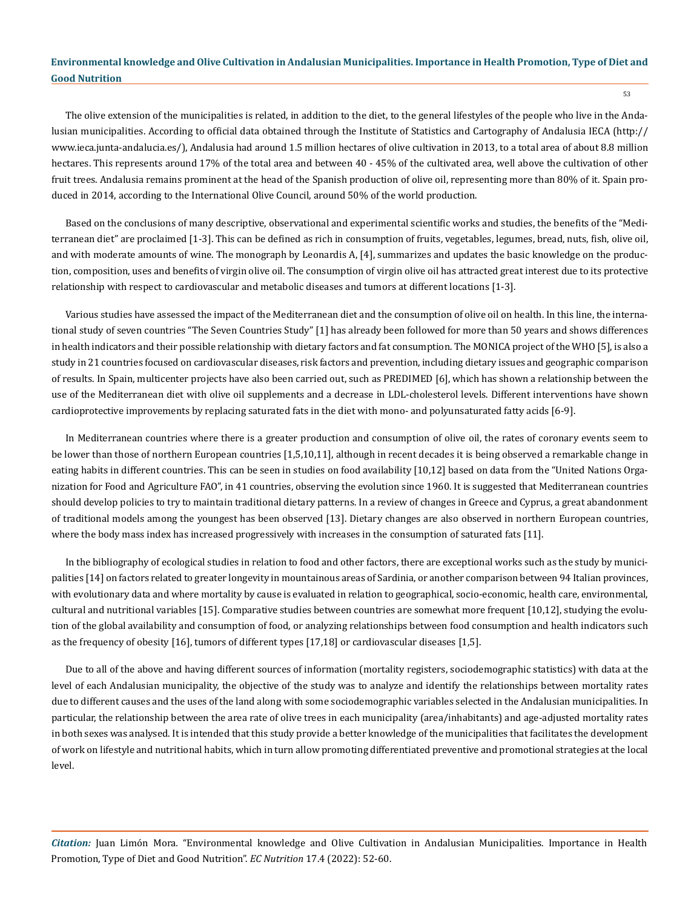The olive extension of the municipalities is related, in addition to the diet, to the general lifestyles of the people who live in the Andalusian municipalities. According to official data obtained through the Institute of Statistics and Cartography of Andalusia IECA (http:// www.ieca.junta-andalucia.es/), Andalusia had around 1.5 million hectares of olive cultivation in 2013, to a total area of about 8.8 million hectares. This represents around 17% of the total area and between 40 - 45% of the cultivated area, well above the cultivation of other fruit trees. Andalusia remains prominent at the head of the Spanish production of olive oil, representing more than 80% of it. Spain produced in 2014, according to the International Olive Council, around 50% of the world production.

Based on the conclusions of many descriptive, observational and experimental scientific works and studies, the benefits of the "Mediterranean diet" are proclaimed [1-3]. This can be defined as rich in consumption of fruits, vegetables, legumes, bread, nuts, fish, olive oil, and with moderate amounts of wine. The monograph by Leonardis A, [4], summarizes and updates the basic knowledge on the production, composition, uses and benefits of virgin olive oil. The consumption of virgin olive oil has attracted great interest due to its protective relationship with respect to cardiovascular and metabolic diseases and tumors at different locations [1-3].

Various studies have assessed the impact of the Mediterranean diet and the consumption of olive oil on health. In this line, the international study of seven countries "The Seven Countries Study" [1] has already been followed for more than 50 years and shows differences in health indicators and their possible relationship with dietary factors and fat consumption. The MONICA project of the WHO [5], is also a study in 21 countries focused on cardiovascular diseases, risk factors and prevention, including dietary issues and geographic comparison of results. In Spain, multicenter projects have also been carried out, such as PREDIMED [6], which has shown a relationship between the use of the Mediterranean diet with olive oil supplements and a decrease in LDL-cholesterol levels. Different interventions have shown cardioprotective improvements by replacing saturated fats in the diet with mono- and polyunsaturated fatty acids [6-9].

In Mediterranean countries where there is a greater production and consumption of olive oil, the rates of coronary events seem to be lower than those of northern European countries [1,5,10,11], although in recent decades it is being observed a remarkable change in eating habits in different countries. This can be seen in studies on food availability [10,12] based on data from the "United Nations Organization for Food and Agriculture FAO", in 41 countries, observing the evolution since 1960. It is suggested that Mediterranean countries should develop policies to try to maintain traditional dietary patterns. In a review of changes in Greece and Cyprus, a great abandonment of traditional models among the youngest has been observed [13]. Dietary changes are also observed in northern European countries, where the body mass index has increased progressively with increases in the consumption of saturated fats [11].

In the bibliography of ecological studies in relation to food and other factors, there are exceptional works such as the study by municipalities [14] on factors related to greater longevity in mountainous areas of Sardinia, or another comparison between 94 Italian provinces, with evolutionary data and where mortality by cause is evaluated in relation to geographical, socio-economic, health care, environmental, cultural and nutritional variables [15]. Comparative studies between countries are somewhat more frequent [10,12], studying the evolution of the global availability and consumption of food, or analyzing relationships between food consumption and health indicators such as the frequency of obesity [16], tumors of different types [17,18] or cardiovascular diseases [1,5].

Due to all of the above and having different sources of information (mortality registers, sociodemographic statistics) with data at the level of each Andalusian municipality, the objective of the study was to analyze and identify the relationships between mortality rates due to different causes and the uses of the land along with some sociodemographic variables selected in the Andalusian municipalities. In particular, the relationship between the area rate of olive trees in each municipality (area/inhabitants) and age-adjusted mortality rates in both sexes was analysed. It is intended that this study provide a better knowledge of the municipalities that facilitates the development of work on lifestyle and nutritional habits, which in turn allow promoting differentiated preventive and promotional strategies at the local level.

*Citation:* Juan Limón Mora*.* "Environmental knowledge and Olive Cultivation in Andalusian Municipalities. Importance in Health Promotion, Type of Diet and Good Nutrition". *EC Nutrition* 17.4 (2022): 52-60.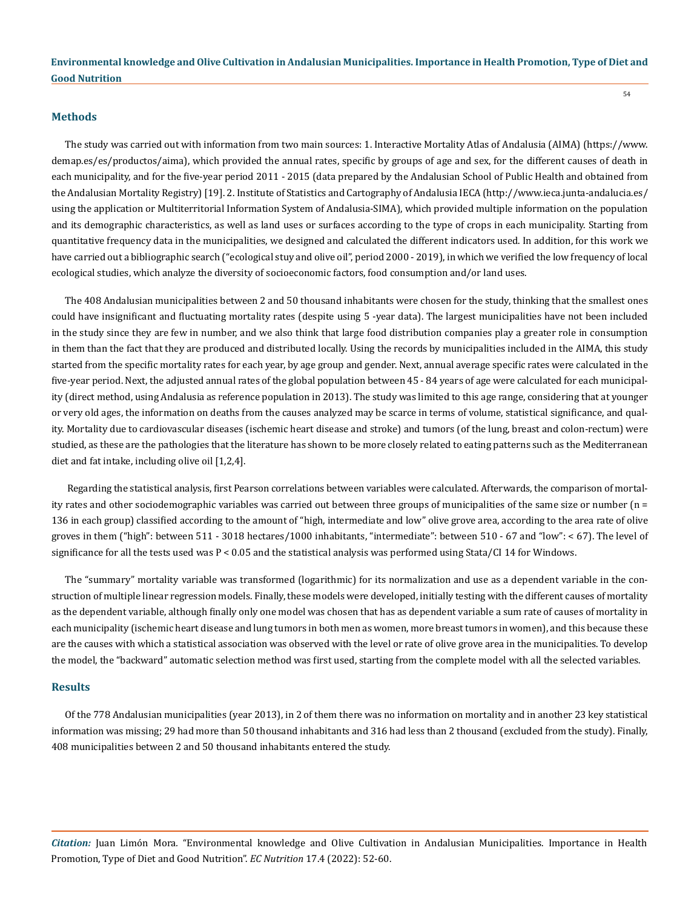#### **Methods**

The study was carried out with information from two main sources: 1. Interactive Mortality Atlas of Andalusia (AIMA) (https://www. demap.es/es/productos/aima), which provided the annual rates, specific by groups of age and sex, for the different causes of death in each municipality, and for the five-year period 2011 - 2015 (data prepared by the Andalusian School of Public Health and obtained from the Andalusian Mortality Registry) [19]. 2. Institute of Statistics and Cartography of Andalusia IECA (http://www.ieca.junta-andalucia.es/ using the application or Multiterritorial Information System of Andalusia-SIMA), which provided multiple information on the population and its demographic characteristics, as well as land uses or surfaces according to the type of crops in each municipality. Starting from quantitative frequency data in the municipalities, we designed and calculated the different indicators used. In addition, for this work we have carried out a bibliographic search ("ecological stuy and olive oil", period 2000 - 2019), in which we verified the low frequency of local ecological studies, which analyze the diversity of socioeconomic factors, food consumption and/or land uses.

The 408 Andalusian municipalities between 2 and 50 thousand inhabitants were chosen for the study, thinking that the smallest ones could have insignificant and fluctuating mortality rates (despite using 5 -year data). The largest municipalities have not been included in the study since they are few in number, and we also think that large food distribution companies play a greater role in consumption in them than the fact that they are produced and distributed locally. Using the records by municipalities included in the AIMA, this study started from the specific mortality rates for each year, by age group and gender. Next, annual average specific rates were calculated in the five-year period. Next, the adjusted annual rates of the global population between 45 - 84 years of age were calculated for each municipality (direct method, using Andalusia as reference population in 2013). The study was limited to this age range, considering that at younger or very old ages, the information on deaths from the causes analyzed may be scarce in terms of volume, statistical significance, and quality. Mortality due to cardiovascular diseases (ischemic heart disease and stroke) and tumors (of the lung, breast and colon-rectum) were studied, as these are the pathologies that the literature has shown to be more closely related to eating patterns such as the Mediterranean diet and fat intake, including olive oil [1,2,4].

 Regarding the statistical analysis, first Pearson correlations between variables were calculated. Afterwards, the comparison of mortality rates and other sociodemographic variables was carried out between three groups of municipalities of the same size or number (n = 136 in each group) classified according to the amount of "high, intermediate and low" olive grove area, according to the area rate of olive groves in them ("high": between 511 - 3018 hectares/1000 inhabitants, "intermediate": between 510 - 67 and "low": < 67). The level of significance for all the tests used was  $P < 0.05$  and the statistical analysis was performed using Stata/CI 14 for Windows.

The "summary" mortality variable was transformed (logarithmic) for its normalization and use as a dependent variable in the construction of multiple linear regression models. Finally, these models were developed, initially testing with the different causes of mortality as the dependent variable, although finally only one model was chosen that has as dependent variable a sum rate of causes of mortality in each municipality (ischemic heart disease and lung tumors in both men as women, more breast tumors in women), and this because these are the causes with which a statistical association was observed with the level or rate of olive grove area in the municipalities. To develop the model, the "backward" automatic selection method was first used, starting from the complete model with all the selected variables.

#### **Results**

Of the 778 Andalusian municipalities (year 2013), in 2 of them there was no information on mortality and in another 23 key statistical information was missing; 29 had more than 50 thousand inhabitants and 316 had less than 2 thousand (excluded from the study). Finally, 408 municipalities between 2 and 50 thousand inhabitants entered the study.

*Citation:* Juan Limón Mora*.* "Environmental knowledge and Olive Cultivation in Andalusian Municipalities. Importance in Health Promotion, Type of Diet and Good Nutrition". *EC Nutrition* 17.4 (2022): 52-60.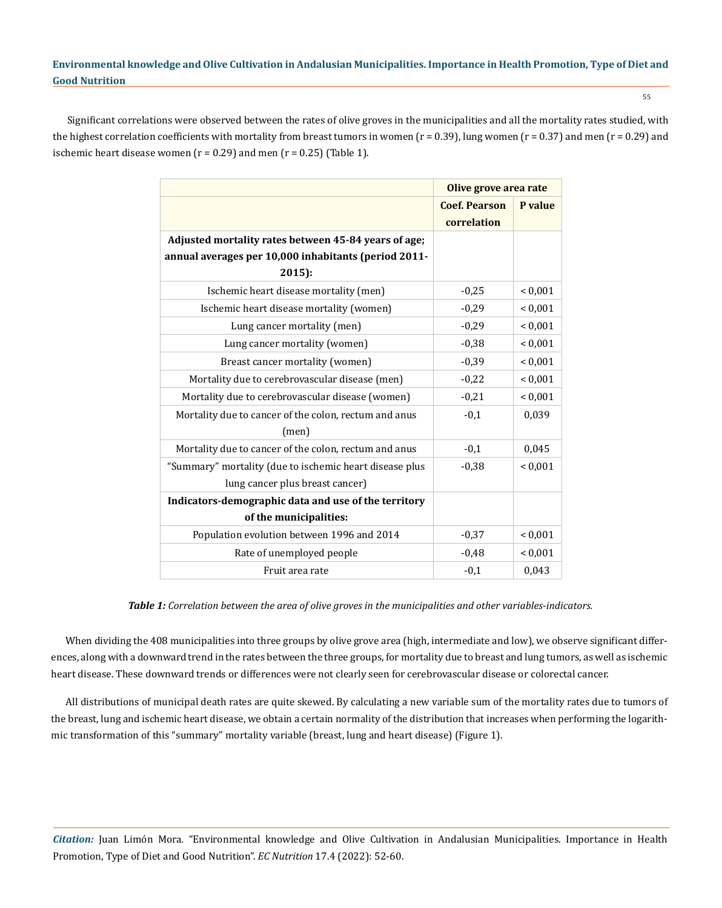55

Significant correlations were observed between the rates of olive groves in the municipalities and all the mortality rates studied, with the highest correlation coefficients with mortality from breast tumors in women  $(r = 0.39)$ , lung women  $(r = 0.37)$  and men  $(r = 0.29)$  and ischemic heart disease women  $(r = 0.29)$  and men  $(r = 0.25)$  (Table 1).

|                                                         | Olive grove area rate               |             |
|---------------------------------------------------------|-------------------------------------|-------------|
|                                                         | <b>Coef. Pearson</b><br>correlation | P value     |
| Adjusted mortality rates between 45-84 years of age;    |                                     |             |
| annual averages per 10,000 inhabitants (period 2011-    |                                     |             |
| 2015):                                                  |                                     |             |
| Ischemic heart disease mortality (men)                  | $-0,25$                             | < 0,001     |
| Ischemic heart disease mortality (women)                | $-0,29$                             | ${}< 0,001$ |
| Lung cancer mortality (men)                             | $-0,29$                             | ${}< 0,001$ |
| Lung cancer mortality (women)                           | $-0,38$                             | ${}< 0.001$ |
| Breast cancer mortality (women)                         | $-0,39$                             | < 0,001     |
| Mortality due to cerebrovascular disease (men)          | $-0,22$                             | ${}< 0,001$ |
| Mortality due to cerebrovascular disease (women)        | $-0,21$                             | ${}< 0,001$ |
| Mortality due to cancer of the colon, rectum and anus   | $-0,1$                              | 0,039       |
| (men)                                                   |                                     |             |
| Mortality due to cancer of the colon, rectum and anus   | $-0,1$                              | 0,045       |
| "Summary" mortality (due to ischemic heart disease plus | $-0,38$                             | ${}< 0.001$ |
| lung cancer plus breast cancer)                         |                                     |             |
| Indicators-demographic data and use of the territory    |                                     |             |
| of the municipalities:                                  |                                     |             |
| Population evolution between 1996 and 2014              | $-0.37$                             | ${}< 0.001$ |
| Rate of unemployed people                               | $-0.48$                             | ${}< 0.001$ |
| Fruit area rate                                         | $-0,1$                              | 0,043       |

*Table 1: Correlation between the area of olive groves in the municipalities and other variables-indicators.*

When dividing the 408 municipalities into three groups by olive grove area (high, intermediate and low), we observe significant differences, along with a downward trend in the rates between the three groups, for mortality due to breast and lung tumors, as well as ischemic heart disease. These downward trends or differences were not clearly seen for cerebrovascular disease or colorectal cancer.

All distributions of municipal death rates are quite skewed. By calculating a new variable sum of the mortality rates due to tumors of the breast, lung and ischemic heart disease, we obtain a certain normality of the distribution that increases when performing the logarithmic transformation of this "summary" mortality variable (breast, lung and heart disease) (Figure 1).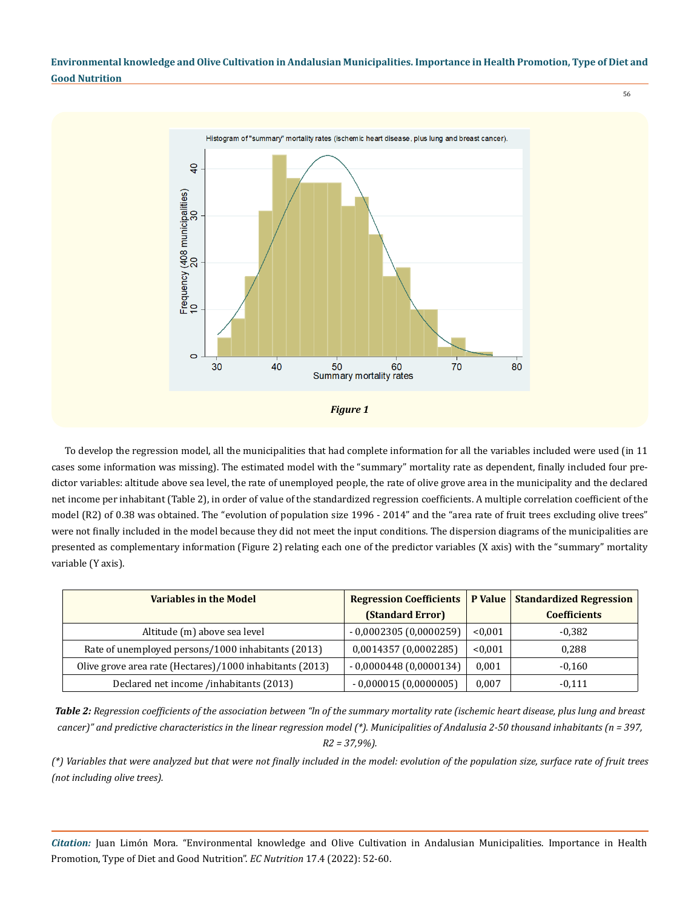56



To develop the regression model, all the municipalities that had complete information for all the variables included were used (in 11 cases some information was missing). The estimated model with the "summary" mortality rate as dependent, finally included four predictor variables: altitude above sea level, the rate of unemployed people, the rate of olive grove area in the municipality and the declared net income per inhabitant (Table 2), in order of value of the standardized regression coefficients. A multiple correlation coefficient of the model (R2) of 0.38 was obtained. The "evolution of population size 1996 - 2014" and the "area rate of fruit trees excluding olive trees" were not finally included in the model because they did not meet the input conditions. The dispersion diagrams of the municipalities are presented as complementary information (Figure 2) relating each one of the predictor variables (X axis) with the "summary" mortality variable (Y axis).

| <b>Variables in the Model</b>                            | <b>Regression Coefficients</b> |         | <b>P Value   Standardized Regression</b> |
|----------------------------------------------------------|--------------------------------|---------|------------------------------------------|
|                                                          | (Standard Error)               |         | <b>Coefficients</b>                      |
| Altitude (m) above sea level                             | $-0,0002305(0,0000259)$        | < 0.001 | -0.382                                   |
| Rate of unemployed persons/1000 inhabitants (2013)       | 0,0014357 (0,0002285)          | < 0.001 | 0,288                                    |
| Olive grove area rate (Hectares)/1000 inhabitants (2013) | $-0,0000448(0,0000134)$        | 0,001   | $-0.160$                                 |
| Declared net income /inhabitants (2013)                  | $-0,000015(0,0000005)$         | 0,007   | $-0.111$                                 |

*Table 2: Regression coefficients of the association between "ln of the summary mortality rate (ischemic heart disease, plus lung and breast cancer)" and predictive characteristics in the linear regression model (\*). Municipalities of Andalusia 2-50 thousand inhabitants (n = 397, R2 = 37,9%).*

*(\*) Variables that were analyzed but that were not finally included in the model: evolution of the population size, surface rate of fruit trees (not including olive trees).*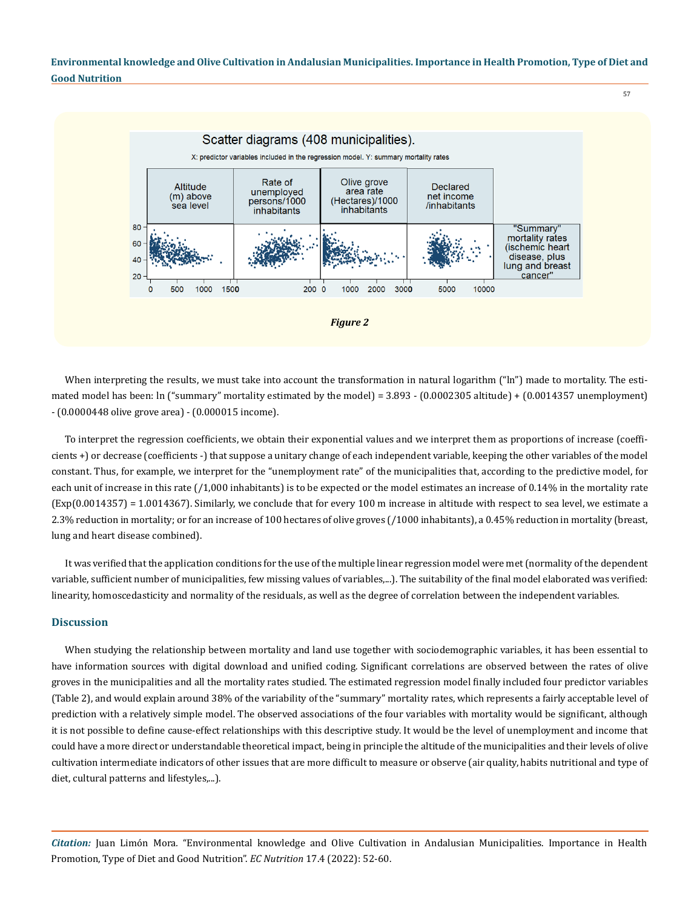

When interpreting the results, we must take into account the transformation in natural logarithm ("ln") made to mortality. The estimated model has been: ln ("summary" mortality estimated by the model) = 3.893 - (0.0002305 altitude) + (0.0014357 unemployment) - (0.0000448 olive grove area) - (0.000015 income).

To interpret the regression coefficients, we obtain their exponential values and we interpret them as proportions of increase (coefficients +) or decrease (coefficients -) that suppose a unitary change of each independent variable, keeping the other variables of the model constant. Thus, for example, we interpret for the "unemployment rate" of the municipalities that, according to the predictive model, for each unit of increase in this rate (/1,000 inhabitants) is to be expected or the model estimates an increase of 0.14% in the mortality rate (Exp(0.0014357) = 1.0014367). Similarly, we conclude that for every 100 m increase in altitude with respect to sea level, we estimate a 2.3% reduction in mortality; or for an increase of 100 hectares of olive groves (/1000 inhabitants), a 0.45% reduction in mortality (breast, lung and heart disease combined).

It was verified that the application conditions for the use of the multiple linear regression model were met (normality of the dependent variable, sufficient number of municipalities, few missing values of variables,...). The suitability of the final model elaborated was verified: linearity, homoscedasticity and normality of the residuals, as well as the degree of correlation between the independent variables.

#### **Discussion**

When studying the relationship between mortality and land use together with sociodemographic variables, it has been essential to have information sources with digital download and unified coding. Significant correlations are observed between the rates of olive groves in the municipalities and all the mortality rates studied. The estimated regression model finally included four predictor variables (Table 2), and would explain around 38% of the variability of the "summary" mortality rates, which represents a fairly acceptable level of prediction with a relatively simple model. The observed associations of the four variables with mortality would be significant, although it is not possible to define cause-effect relationships with this descriptive study. It would be the level of unemployment and income that could have a more direct or understandable theoretical impact, being in principle the altitude of the municipalities and their levels of olive cultivation intermediate indicators of other issues that are more difficult to measure or observe (air quality, habits nutritional and type of diet, cultural patterns and lifestyles,...).

*Citation:* Juan Limón Mora*.* "Environmental knowledge and Olive Cultivation in Andalusian Municipalities. Importance in Health Promotion, Type of Diet and Good Nutrition". *EC Nutrition* 17.4 (2022): 52-60.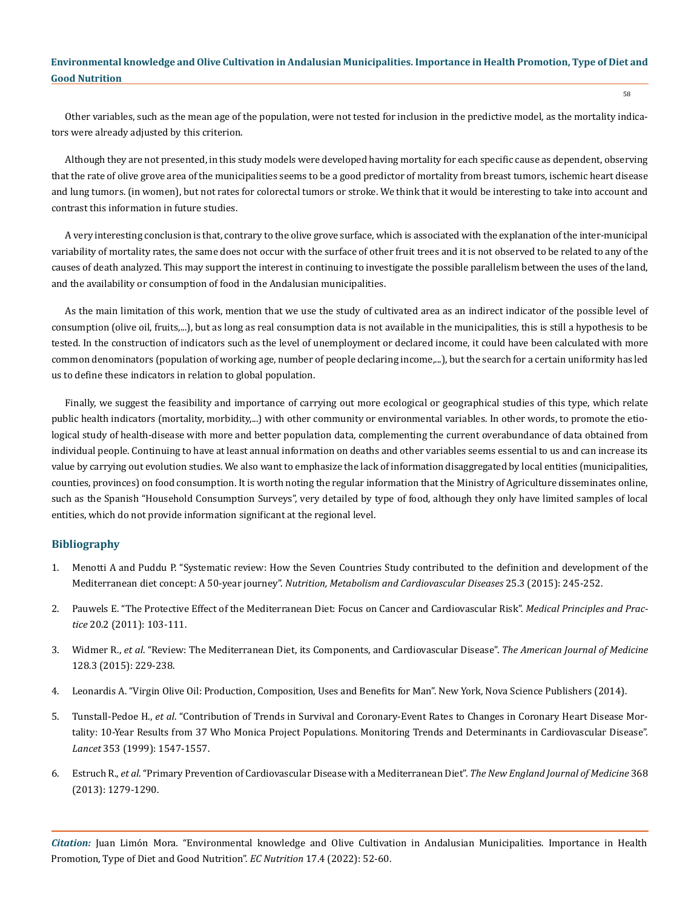Other variables, such as the mean age of the population, were not tested for inclusion in the predictive model, as the mortality indicators were already adjusted by this criterion.

Although they are not presented, in this study models were developed having mortality for each specific cause as dependent, observing that the rate of olive grove area of the municipalities seems to be a good predictor of mortality from breast tumors, ischemic heart disease and lung tumors. (in women), but not rates for colorectal tumors or stroke. We think that it would be interesting to take into account and contrast this information in future studies.

A very interesting conclusion is that, contrary to the olive grove surface, which is associated with the explanation of the inter-municipal variability of mortality rates, the same does not occur with the surface of other fruit trees and it is not observed to be related to any of the causes of death analyzed. This may support the interest in continuing to investigate the possible parallelism between the uses of the land, and the availability or consumption of food in the Andalusian municipalities.

As the main limitation of this work, mention that we use the study of cultivated area as an indirect indicator of the possible level of consumption (olive oil, fruits,...), but as long as real consumption data is not available in the municipalities, this is still a hypothesis to be tested. In the construction of indicators such as the level of unemployment or declared income, it could have been calculated with more common denominators (population of working age, number of people declaring income,...), but the search for a certain uniformity has led us to define these indicators in relation to global population.

Finally, we suggest the feasibility and importance of carrying out more ecological or geographical studies of this type, which relate public health indicators (mortality, morbidity,...) with other community or environmental variables. In other words, to promote the etiological study of health-disease with more and better population data, complementing the current overabundance of data obtained from individual people. Continuing to have at least annual information on deaths and other variables seems essential to us and can increase its value by carrying out evolution studies. We also want to emphasize the lack of information disaggregated by local entities (municipalities, counties, provinces) on food consumption. It is worth noting the regular information that the Ministry of Agriculture disseminates online, such as the Spanish "Household Consumption Surveys", very detailed by type of food, although they only have limited samples of local entities, which do not provide information significant at the regional level.

#### **Bibliography**

- 1. [Menotti A and Puddu P. "Systematic review: How the Seven Countries Study contributed to the definition and development of the](https://pubmed.ncbi.nlm.nih.gov/25650160/)  Mediterranean diet concept: A 50-year journey". *[Nutrition, Metabolism and Cardiovascular Diseases](https://pubmed.ncbi.nlm.nih.gov/25650160/)* 25.3 (2015): 245-252.
- 2. [Pauwels E. "The Protective Effect of the Mediterranean Diet: Focus on Cancer and Cardiovascular Risk".](https://pubmed.ncbi.nlm.nih.gov/21252562/) *Medical Principles and Practice* [20.2 \(2011\): 103-111.](https://pubmed.ncbi.nlm.nih.gov/21252562/)
- 3. Widmer R., *et al*[. "Review: The Mediterranean Diet, its Components, and Cardiovascular Disease".](https://pubmed.ncbi.nlm.nih.gov/25447615/) *The American Journal of Medicine*  [128.3 \(2015\): 229-238.](https://pubmed.ncbi.nlm.nih.gov/25447615/)
- 4. [Leonardis A. "Virgin Olive Oil: Production, Composition, Uses and Benefits for Man". New York, Nova Science Publishers \(2014\).](https://novapublishers.com/shop/virgin-olive-oil-production-composition-uses-and-benefits-for-man/)
- 5. Tunstall-Pedoe H., *et al*[. "Contribution of Trends in Survival and Coronary-Event Rates to Changes in Coronary Heart Disease Mor](https://pubmed.ncbi.nlm.nih.gov/10334252/)[tality: 10-Year Results from 37 Who Monica Project Populations. Monitoring Trends and Determinants in Cardiovascular Disease".](https://pubmed.ncbi.nlm.nih.gov/10334252/)  *Lancet* [353 \(1999\): 1547-1557.](https://pubmed.ncbi.nlm.nih.gov/10334252/)
- 6. Estruch R., *et al*[. "Primary Prevention of Cardiovascular Disease with a Mediterranean Diet".](https://www.nejm.org/doi/full/10.1056/nejmoa1200303) *The New England Journal of Medicine* 368 [\(2013\): 1279-1290.](https://www.nejm.org/doi/full/10.1056/nejmoa1200303)

*Citation:* Juan Limón Mora*.* "Environmental knowledge and Olive Cultivation in Andalusian Municipalities. Importance in Health Promotion, Type of Diet and Good Nutrition". *EC Nutrition* 17.4 (2022): 52-60.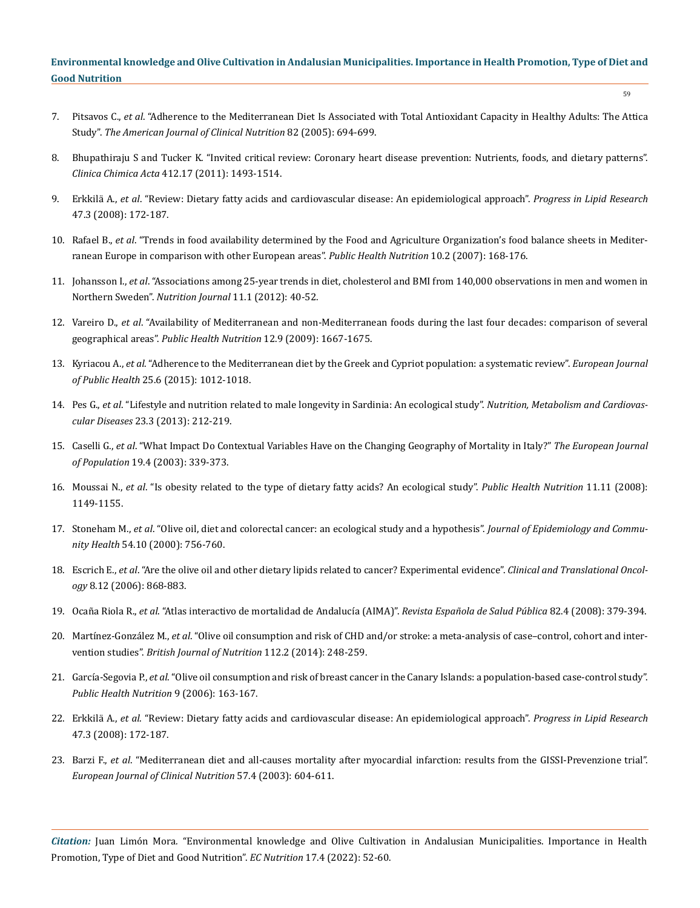- 7. Pitsavos C., *et al*[. "Adherence to the Mediterranean Diet Is Associated with Total Antioxidant Capacity in Healthy Adults: The Attica](https://pubmed.ncbi.nlm.nih.gov/16155285/)  Study". *[The American Journal of Clinical Nutrition](https://pubmed.ncbi.nlm.nih.gov/16155285/)* 82 (2005): 694-699.
- 8. [Bhupathiraju S and Tucker K. "Invited critical review: Coronary heart disease prevention: Nutrients, foods, and dietary patterns".](https://www.ncbi.nlm.nih.gov/pmc/articles/PMC5945285/)  *Clinica Chimica Acta* [412.17 \(2011\): 1493-1514.](https://www.ncbi.nlm.nih.gov/pmc/articles/PMC5945285/)
- 9. Erkkilä A., *et al*[. "Review: Dietary fatty acids and cardiovascular disease: An epidemiological approach".](https://pubmed.ncbi.nlm.nih.gov/18328267/) *Progress in Lipid Research*  [47.3 \(2008\): 172-187.](https://pubmed.ncbi.nlm.nih.gov/18328267/)
- 10. Rafael B., *et al*[. "Trends in food availability determined by the Food and Agriculture Organization's food balance sheets in Mediter](https://pubmed.ncbi.nlm.nih.gov/17261226/)[ranean Europe in comparison with other European areas".](https://pubmed.ncbi.nlm.nih.gov/17261226/) *Public Health Nutrition* 10.2 (2007): 168-176.
- 11. Johansson I., *et al*[. "Associations among 25-year trends in diet, cholesterol and BMI from 140,000 observations in men and women in](https://pubmed.ncbi.nlm.nih.gov/22686621/)  Northern Sweden". *[Nutrition Journal](https://pubmed.ncbi.nlm.nih.gov/22686621/)* 11.1 (2012): 40-52.
- 12. Vareiro D., *et al*[. "Availability of Mediterranean and non-Mediterranean foods during the last four decades: comparison of several](https://pubmed.ncbi.nlm.nih.gov/19689838/)  geographical areas". *[Public Health Nutrition](https://pubmed.ncbi.nlm.nih.gov/19689838/)* 12.9 (2009): 1667-1675.
- 13. Kyriacou A., *et al*[. "Adherence to the Mediterranean diet by the Greek and Cypriot population: a systematic review".](https://academic.oup.com/eurpub/article/25/6/1012/2467512) *European Journal of Public Health* [25.6 \(2015\): 1012-1018.](https://academic.oup.com/eurpub/article/25/6/1012/2467512)
- 14. Pes G., *et al*[. "Lifestyle and nutrition related to male longevity in Sardinia: An ecological study".](https://pubmed.ncbi.nlm.nih.gov/21958760/) *Nutrition, Metabolism and Cardiovascular Diseases* [23.3 \(2013\): 212-219.](https://pubmed.ncbi.nlm.nih.gov/21958760/)
- 15. Caselli G., *et al*[. "What Impact Do Contextual Variables Have on the Changing Geography of Mortality in Italy?"](https://www.researchgate.net/publication/226855108_What_Impact_Do_Contextual_Variables_Have_on_the_Changing_Geography_of_Mortality_in_Italy) *The European Journal of Population* [19.4 \(2003\): 339-373.](https://www.researchgate.net/publication/226855108_What_Impact_Do_Contextual_Variables_Have_on_the_Changing_Geography_of_Mortality_in_Italy)
- 16. Moussai N., *et al*[. "Is obesity related to the type of dietary fatty acids? An ecological study".](https://pubmed.ncbi.nlm.nih.gov/18194589/) *Public Health Nutrition* 11.11 (2008): [1149-1155.](https://pubmed.ncbi.nlm.nih.gov/18194589/)
- 17. Stoneham M., *et al*[. "Olive oil, diet and colorectal cancer: an ecological study and a hypothesis".](https://eurekamag.com/research/011/085/011085557.php) *Journal of Epidemiology and Community Health* [54.10 \(2000\): 756-760.](https://eurekamag.com/research/011/085/011085557.php)
- 18. Escrich E., *et al*[. "Are the olive oil and other dietary lipids related to cancer? Experimental evidence".](https://pubmed.ncbi.nlm.nih.gov/17169760/) *Clinical and Translational Oncology* [8.12 \(2006\): 868-883.](https://pubmed.ncbi.nlm.nih.gov/17169760/)
- 19. Ocaña Riola R., *et al*[. "Atlas interactivo de mortalidad de Andalucía \(AIMA\)".](https://scielo.isciii.es/scielo.php?script=sci_arttext&pid=S1135-57272008000400003) *Revista Española de Salud Pública* 82.4 (2008): 379-394.
- 20. Martínez-González M., *et al*[. "Olive oil consumption and risk of CHD and/or stroke: a meta-analysis of case–control, cohort and inter](https://pubmed.ncbi.nlm.nih.gov/24775425/)vention studies". *[British Journal of Nutrition](https://pubmed.ncbi.nlm.nih.gov/24775425/)* 112.2 (2014): 248-259.
- 21. García-Segovia P., *et al*[. "Olive oil consumption and risk of breast cancer in the Canary Islands: a population-based case-control study".](https://www.cambridge.org/core/journals/public-health-nutrition/article/olive-oil-consumption-and-risk-of-breast-cancer-in-the-canary-islands-a-populationbased-casecontrol-study/F3446A2AE36B4AABB96FE779233B97A2)  *[Public Health Nutrition](https://www.cambridge.org/core/journals/public-health-nutrition/article/olive-oil-consumption-and-risk-of-breast-cancer-in-the-canary-islands-a-populationbased-casecontrol-study/F3446A2AE36B4AABB96FE779233B97A2)* 9 (2006): 163-167.
- 22. Erkkilä A., *et al*[. "Review: Dietary fatty acids and cardiovascular disease: An epidemiological approach".](https://pubmed.ncbi.nlm.nih.gov/18328267/) *Progress in Lipid Research*  [47.3 \(2008\): 172-187.](https://pubmed.ncbi.nlm.nih.gov/18328267/)
- 23. Barzi F., *et al*[. "Mediterranean diet and all-causes mortality after myocardial infarction: results from the GISSI-Prevenzione trial".](https://pubmed.ncbi.nlm.nih.gov/12700623/)  *[European Journal of Clinical Nutrition](https://pubmed.ncbi.nlm.nih.gov/12700623/)* 57.4 (2003): 604-611.

*Citation:* Juan Limón Mora*.* "Environmental knowledge and Olive Cultivation in Andalusian Municipalities. Importance in Health Promotion, Type of Diet and Good Nutrition". *EC Nutrition* 17.4 (2022): 52-60.